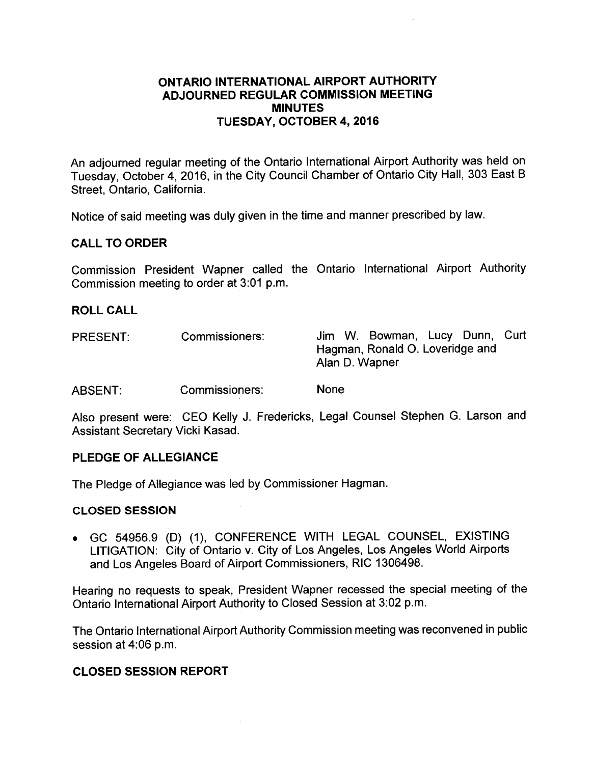## ONTARIO INTERNATIONAL AIRPORT AUTHORITY ADJOURNED REGULAR COMMISSION MEETING MINUTES TUESDAY, OCTOBER 4, 2016

An adjourned regular meeting of the Ontario International Airport Authority was held on Tuesday, October 4, 2016, in the City Council Chamber of Ontario City Hall, 303 East B Street, Ontario, California.

Notice of said meeting was duly given in the time and manner prescribed by law.

## CALL TO ORDER

Commission President Wapner called the Ontario International Airport Authority Commission meeting to order at 3:01 p.m.

## ROLL CALL

| <b>PRESENT:</b> | Commissioners: | Jim W. Bowman, Lucy Dunn, Curt<br>Hagman, Ronald O. Loveridge and<br>Alan D. Wapner |
|-----------------|----------------|-------------------------------------------------------------------------------------|
| <b>ABSENT:</b>  | Commissioners: | <b>None</b>                                                                         |

Also present were: CEO Kelly J. Fredericks, Legal Counsel Stephen G. Larson and Assistant Secretary Vicki Kasad.

## PLEDGE OF ALLEGIANCE

The Pledge of Allegiance was led by Commissioner Hagman.

#### CLOSED SESSION

. GC 54956.9 (D) (1), CONFERENCE WITH LEGAL COUNSEL, EXISTING LITIGATION: City of Ontario v. City of Los Angeles, Los Angeles World Airports and Los Angeles Board of Airport Commissioners, RIC 1306498.

Hearing no requests to speak, President Wapner recessed the special meeting of the Ontario International Airport Authority to Closed Session at 3:02 p.m.

The Ontario International Airport Authority Commission meeting was reconvened in public session at 4:06 p.m.

#### CLOSED SESSION REPORT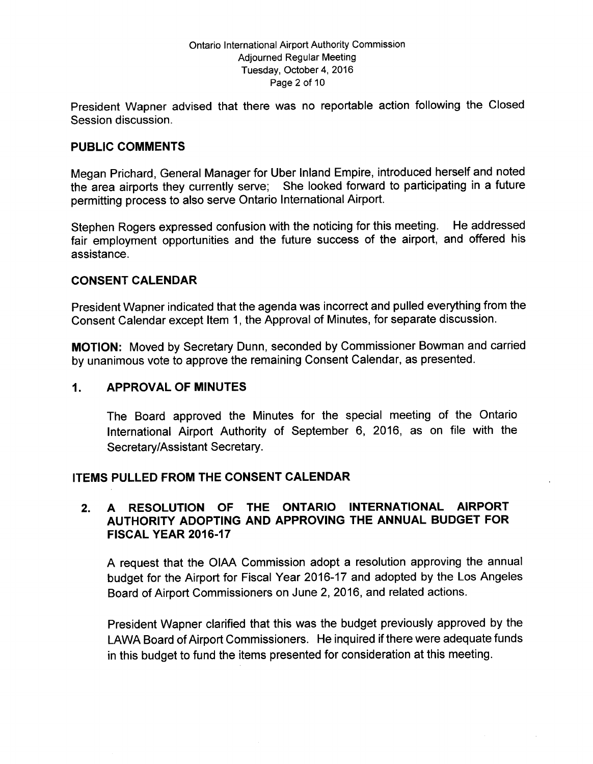#### Ontario International Airport Authority Commission Adjourned Regular Meeting Tuesday, October 4, 2016 Page 2 of 10

President Wapner advised that there was no reportable action following the Closed Session discussion.

## PUBLIC COMMENTS

Megan Prichard, General Manager for Uber Inland Empire, introduced herself and noted the area airports they currently serve; She looked forward to participating in a future permitting process to also serve Ontario International Airport.

Stephen Rogers expressed confusion with the noticing for this meeting. He addressed fair employment opportunities and the future success of the airport, and offered his assistance.

### CONSENT CALENDAR

President Wapner indicated that the agenda was incorrect and pulled everything from the Consent Calendar except Item 1, the Approval of Minutes, for separate discussion.

MOTION: Moved by Secretary Dunn, seconded by Commissioner Bowman and carried by unanimous vote to approve the remaining Consent Calendar, as presented.

### 1. APPROVAL OF MINUTES

The Board approved the Minutes for the special meeting of the Ontario International Airport Authority of September 6, 2016, as on file with the Secretary/Assistant Secretary.

## ITEMS PULLED FROM THE CONSENT CALENDAR

## 2. A RESOLUTION OF THE ONTARIO INTERNATIONAL AIRPORT AUTHORITY ADOPTING AND APPROVING THE ANNUAL BUDGET FOR **FISCAL YEAR 2016-17**

A request that the OIAA Commission adopt a resolution approving the annual budget for the Airport for Fiscal Year 2016- 17 and adopted by the Los Angeles Board of Airport Commissioners on June 2, 2016, and related actions.

President Wapner clarified that this was the budget previously approved by the LAWA Board of Airport Commissioners. He inquired if there were adequate funds in this budget to fund the items presented for consideration at this meeting.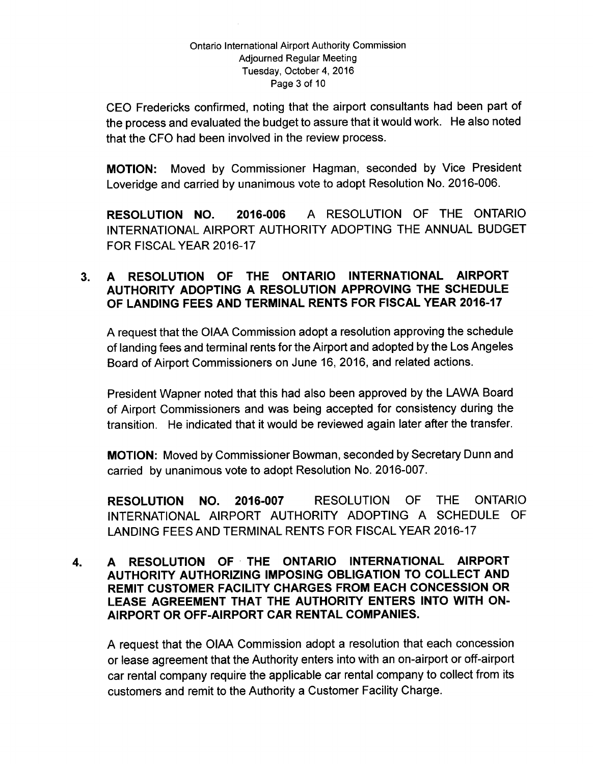#### Ontario International Airport Authority Commission Adjourned Regular Meeting Tuesday, October 4, 2016 Page 3 of 10

CEO Fredericks confirmed, noting that the airport consultants had been part of the process and evaluated the budget to assure that it would work. He also noted that the CFO had been involved in the review process.

MOTION: Moved by Commissioner Hagman, seconded by Vice President Loveridge and carried by unanimous vote to adopt Resolution No. 2016-006.

RESOLUTION NO. 2016-006 A RESOLUTION OF THE ONTARIO INTERNATIONAL AIRPORT AUTHORITY ADOPTING THE ANNUAL BUDGET FOR FISCAL YEAR 2016-17

## 3. A RESOLUTION OF THE ONTARIO INTERNATIONAL AIRPORT AUTHORITY ADOPTING A RESOLUTION APPROVING THE SCHEDULE OF LANDING FEES AND TERMINAL RENTS FOR FISCAL YEAR 2016-17

A request that the OIAA Commission adopt a resolution approving the schedule of landing fees and terminal rents for the Airport and adopted by the Los Angeles Board of Airport Commissioners on June 16, 2016, and related actions.

President Wapner noted that this had also been approved by the LAWA Board of Airport Commissioners and was being accepted for consistency during the transition. He indicated that it would be reviewed again later after the transfer.

MOTION: Moved by Commissioner Bowman, seconded by Secretary Dunn and carried by unanimous vote to adopt Resolution No. 2016-007.

RESOLUTION NO. 2016-007 RESOLUTION OF THE ONTARIO INTERNATIONAL AIRPORT AUTHORITY ADOPTING A SCHEDULE OF LANDING FEES AND TERMINAL RENTS FOR FISCAL YEAR 2016-17

4. A RESOLUTION OF, THE ONTARIO INTERNATIONAL AIRPORT AUTHORITY AUTHORIZING IMPOSING OBLIGATION TO COLLECT AND REMIT CUSTOMER FACILITY CHARGES FROM EACH CONCESSION OR LEASE AGREEMENT THAT THE AUTHORITY ENTERS INTO WITH ON-AIRPORT OR OFF -AIRPORT CAR RENTAL COMPANIES.

A request that the OIAA Commission adopt a resolution that each concession or lease agreement that the Authority enters into with an on -airport or off -airport car rental company require the applicable car rental company to collect from its customers and remit to the Authority a Customer Facility Charge.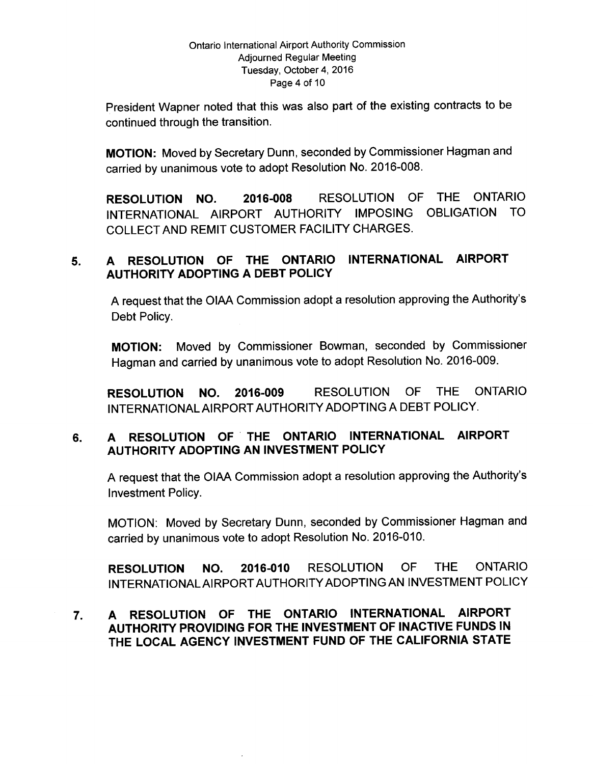#### Ontario International Airport Authority Commission Adjourned Regular Meeting Tuesday, October 4, 2016 Page 4 of 10

President Wapner noted that this was also part of the existing contracts to be continued through the transition.

MOTION: Moved by Secretary Dunn, seconded by Commissioner Hagman and carried by unanimous vote to adopt Resolution No. 2016-008.

RESOLUTION NO. 2016-008 RESOLUTION OF THE ONTARIO INTERNATIONAL AIRPORT AUTHORITY IMPOSING OBLIGATION TO COLLECT AND REMIT CUSTOMER FACILITY CHARGES.

# 5. A RESOLUTION OF THE ONTARIO INTERNATIONAL AIRPORT AUTHORITY ADOPTING A DEBT POLICY

A request that the OIAA Commission adopt a resolution approving the Authority' s Debt Policy.

MOTION: Moved by Commissioner Bowman, seconded by Commissioner Hagman and carried by unanimous vote to adopt Resolution No. 2016-009.

RESOLUTION NO. 2016-009 RESOLUTION OF THE ONTARIO INTERNATIONAL AIRPORT AUTHORITY ADOPTING A DEBT POLICY.

# 6. A RESOLUTION OF ' THE ONTARIO INTERNATIONAL AIRPORT AUTHORITY ADOPTING AN INVESTMENT POLICY

A request that the OIAA Commission adopt a resolution approving the Authority's Investment Policy.

MOTION: Moved by Secretary Dunn, seconded by Commissioner Hagman and carried by unanimous vote to adopt Resolution No. 2016-010.

RESOLUTION NO. 2016-010 RESOLUTION OF THE ONTARIO INTERNATIONAL AIRPORT AUTHORITY ADOPTING AN INVESTMENT POLICY

# 7. A RESOLUTION OF THE ONTARIO INTERNATIONAL AIRPORT AUTHORITY PROVIDING FOR THE INVESTMENT OF INACTIVE FUNDS IN THE LOCAL AGENCY INVESTMENT FUND OF THE CALIFORNIA STATE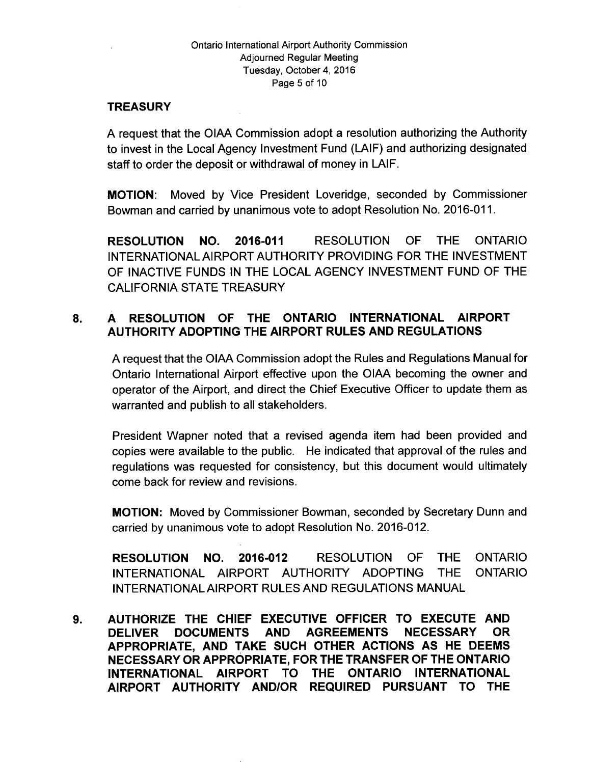#### Ontario International Airport Authority Commission Adjourned Regular Meeting Tuesday, October 4, 2016 Page 5 of 10

## **TREASURY**

A request that the OIAA Commission adopt a resolution authorizing the Authority to invest in the Local Agency Investment Fund ( LAIF) and authorizing designated staff to order the deposit or withdrawal of money in LAIF.

MOTION: Moved by Vice President Loveridge, seconded by Commissioner Bowman and carried by unanimous vote to adopt Resolution No. 2016-011.

RESOLUTION NO. 2016-011 RESOLUTION OF THE ONTARIO INTERNATIONAL AIRPORT AUTHORITY PROVIDING FOR THE INVESTMENT OF INACTIVE FUNDS IN THE LOCAL AGENCY INVESTMENT FUND OF THE CALIFORNIA STATE TREASURY

# 8. A RESOLUTION OF THE ONTARIO INTERNATIONAL AIRPORT AUTHORITY ADOPTING THE AIRPORT RULES AND REGULATIONS

A request that the OIAA Commission adopt the Rules and Regulations Manual for Ontario International Airport effective upon the OIAA becoming the owner and operator of the Airport, and direct the Chief Executive Officer to update them as warranted and publish to all stakeholders.

President Wapner noted that a revised agenda item had been provided and copies were available to the public. He indicated that approval of the rules and regulations was requested for consistency, but this document would ultimately come back for review and revisions.

MOTION: Moved by Commissioner Bowman, seconded by Secretary Dunn and carried by unanimous vote to adopt Resolution No. 2016-012.

RESOLUTION NO. 2016-012 RESOLUTION OF THE ONTARIO INTERNATIONAL AIRPORT AUTHORITY ADOPTING THE ONTARIO INTERNATIONAL AIRPORT RULES AND REGULATIONS MANUAL

9. AUTHORIZE THE CHIEF EXECUTIVE OFFICER TO EXECUTE AND DELIVER DOCUMENTS AND AGREEMENTS NECESSARY OR APPROPRIATE, AND TAKE SUCH OTHER ACTIONS AS HE DEEMS NECESSARY OR APPROPRIATE, FOR THE TRANSFER OF THE ONTARIO INTERNATIONAL AIRPORT TO THE ONTARIO INTERNATIONAL AIRPORT AUTHORITY AND/OR REQUIRED PURSUANT TO THE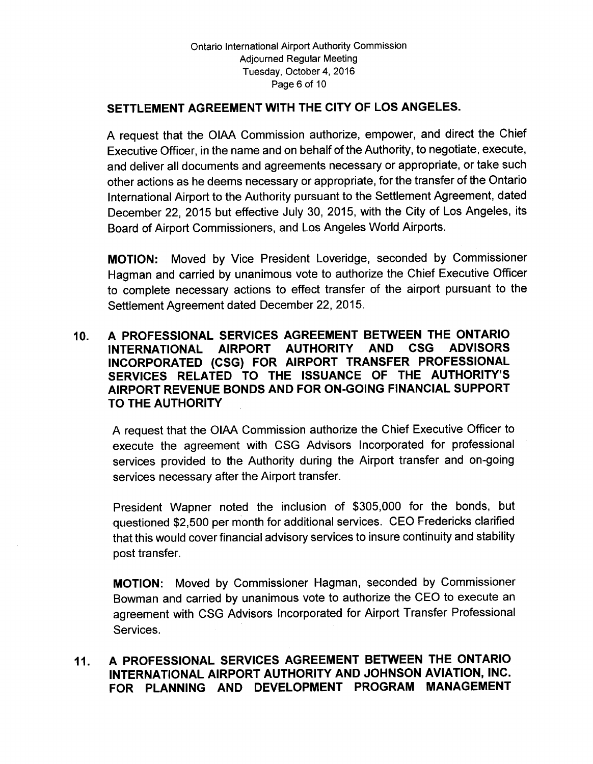# SETTLEMENT AGREEMENT WITH THE CITY OF LOS ANGELES.

A request that the OIAA Commission authorize, empower, and direct the Chief Executive Officer, in the name and on behalf of the Authority, to negotiate, execute, and deliver all documents and agreements necessary or appropriate, or take such other actions as he deems necessary or appropriate, for the transfer of the Ontario International Airport to the Authority pursuant to the Settlement Agreement, dated December 22, 2015 but effective July 30, 2015, with the City of Los Angeles, its Board of Airport Commissioners, and Los Angeles World Airports.

MOTION: Moved by Vice President Loveridge, seconded by Commissioner Hagman and carried by unanimous vote to authorize the Chief Executive Officer to complete necessary actions to effect transfer of the airport pursuant to the Settlement Agreement dated December 22, 2015.

## 10. A PROFESSIONAL SERVICES AGREEMENT BETWEEN THE ONTARIO INTERNATIONAL AIRPORT AUTHORITY AND CSG ADVISORS INCORPORATED (CSG) FOR AIRPORT TRANSFER PROFESSIONAL SERVICES RELATED TO THE ISSUANCE OF THE AUTHORITY'S AIRPORT REVENUE BONDS AND FOR ON-GOING FINANCIAL SUPPORT TO THE AUTHORITY

A request that the OIAA Commission authorize the Chief Executive Officer to execute the agreement with CSG Advisors Incorporated for professional services provided to the Authority during the Airport transfer and on-going services necessary after the Airport transfer.

President Wapner noted the inclusion of \$305,000 for the bonds, but questioned \$2,500 per month for additional services. CEO Fredericks clarified that this would cover financial advisory services to insure continuity and stability post transfer.

MOTION: Moved by Commissioner Hagman, seconded by Commissioner Bowman and carried by unanimous vote to authorize the CEO to execute an agreement with CSG Advisors Incorporated for Airport Transfer Professional Services.

# 11. A PROFESSIONAL SERVICES AGREEMENT BETWEEN THE ONTARIO INTERNATIONAL AIRPORT AUTHORITY AND JOHNSON AVIATION, INC. FOR PLANNING AND DEVELOPMENT PROGRAM MANAGEMENT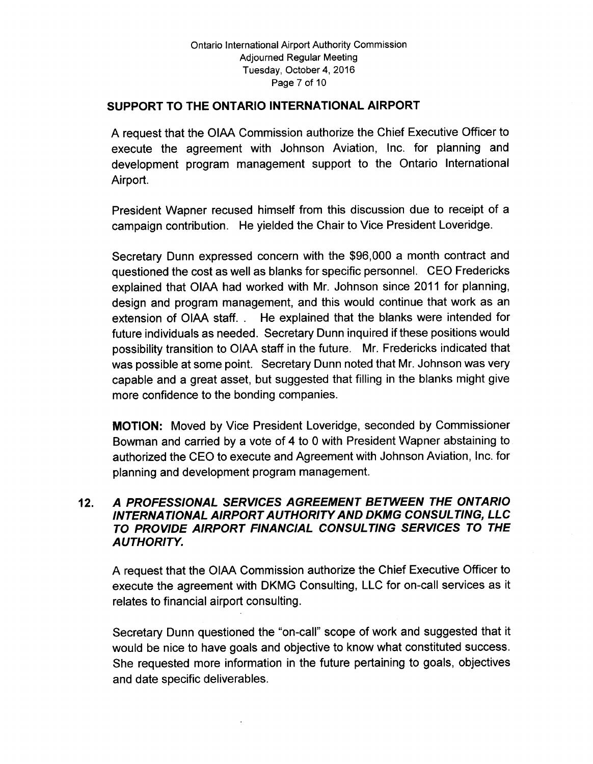## SUPPORT TO THE ONTARIO INTERNATIONAL AIRPORT

A request that the OIAA Commission authorize the Chief Executive Officer to execute the agreement with Johnson Aviation, Inc. for planning and development program management support to the Ontario International Airport.

President Wapner recused himself from this discussion due to receipt of a campaign contribution. He yielded the Chair to Vice President Loveridge.

Secretary Dunn expressed concern with the \$96,000 a month contract and questioned the cost as well as blanks for specific personnel. CEO Fredericks explained that OIAA had worked with Mr. Johnson since 2011 for planning, design and program management, and this would continue that work as an extension of OIAA staff.. He explained that the blanks were intended for future individuals as needed. Secretary Dunn inquired if these positions would possibility transition to OIAA staff in the future. Mr. Fredericks indicated that was possible at some point. Secretary Dunn noted that Mr. Johnson was very capable and a great asset, but suggested that filling in the blanks might give more confidence to the bonding companies.

MOTION: Moved by Vice President Loveridge, seconded by Commissioner Bowman and carried by a vote of 4 to 0 with President Wapner abstaining to authorized the CEO to execute and Agreement with Johnson Aviation, Inc. for planning and development program management.

## 12. A PROFESSIONAL SERVICES AGREEMENT BETWEEN THE ONTARIO INTERNATIONAL AIRPORT AUTHORITY AND DKMG CONSULTING, LLC TO PROVIDE AIRPORT FINANCIAL CONSULTING SERVICES TO THE AUTHORITY.

A request that the OIAA Commission authorize the Chief Executive Officer to execute the agreement with DKMG Consulting, LLC for on-call services as it relates to financial airport consulting.

Secretary Dunn questioned the "on-call" scope of work and suggested that it would be nice to have goals and objective to know what constituted success. She requested more information in the future pertaining to goals, objectives and date specific deliverables.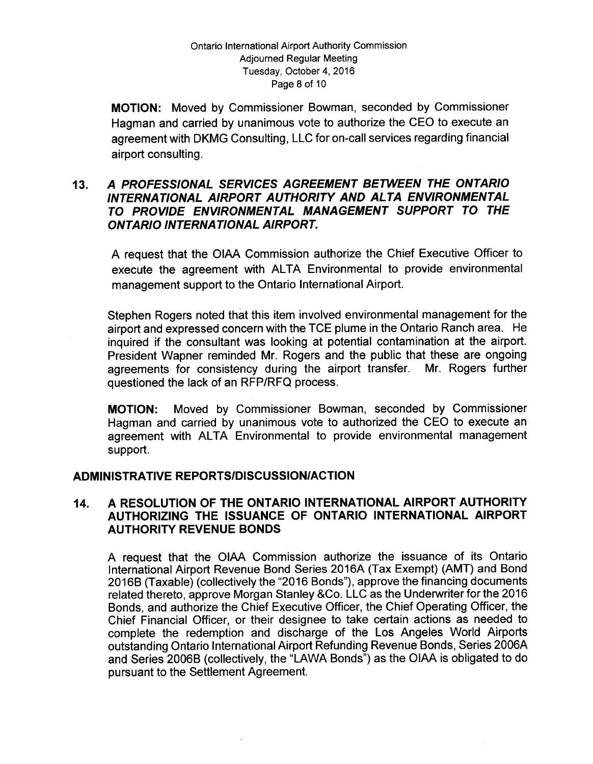MOTION: Moved by Commissioner Bowman, seconded by Commissioner Hagman and carried by unanimous vote to authorize the CEO to execute an agreement with DKMG Consulting, LLC for on- call services regarding financial airport consulting.

## 13. A PROFESSIONAL SERVICES AGREEMENT BETWEEN THE ONTARIO INTERNATIONAL AIRPORT AUTHORITY AND ALTA ENVIRONMENTAL TO PROVIDE ENVIRONMENTAL MANAGEMENT SUPPORT TO THE ONTARIO INTERNATIONAL AIRPORT.

A request that the OIAA Commission authorize the Chief Executive Officer to execute the agreement with ALTA Environmental to provide environmental management support to the Ontario International Airport.

Stephen Rogers noted that this item involved environmental management for the airport and expressed concern with the TCE plume in the Ontario Ranch area. He inquired if the consultant was looking at potential contamination at the airport. President Wapner reminded Mr. Rogers and the public that these are ongoing agreements for consistency during the airport transfer. Mr. Rogers further questioned the lack of an RFP/RFQ process.

MOTION: Moved by Commissioner Bowman, seconded by Commissioner Hagman and carried by unanimous vote to authorized the CEO to execute an agreement with ALTA Environmental to provide environmental management support.

## ADMINISTRATIVE REPORTS/DISCUSSION/ACTION

## 14. A RESOLUTION OF THE ONTARIO INTERNATIONAL AIRPORT AUTHORITY AUTHORIZING THE ISSUANCE OF ONTARIO INTERNATIONAL AIRPORT AUTHORITY REVENUE BONDS

A request that the OIAA Commission authorize the issuance of its Ontario International Airport Revenue Bond Series 2016A (Tax Exempt) (AMT) and Bond 2016B ( Taxable) ( collectively the "2016 Bonds"), approve the financing documents related thereto, approve Morgan Stanley & Co. LLC as the Underwriter for the 2016 Bonds, and authorize the Chief Executive Officer, the Chief Operating Officer, the Chief Financial Officer, or their designee to take certain actions as needed to complete the redemption and discharge of the Los Angeles World Airports outstanding Ontario International Airport Refunding Revenue Bonds, Series 2006A and Series 2006B ( collectively, the " LAWA Bonds") as the OIAA is obligated to do pursuant to the Settlement Agreement.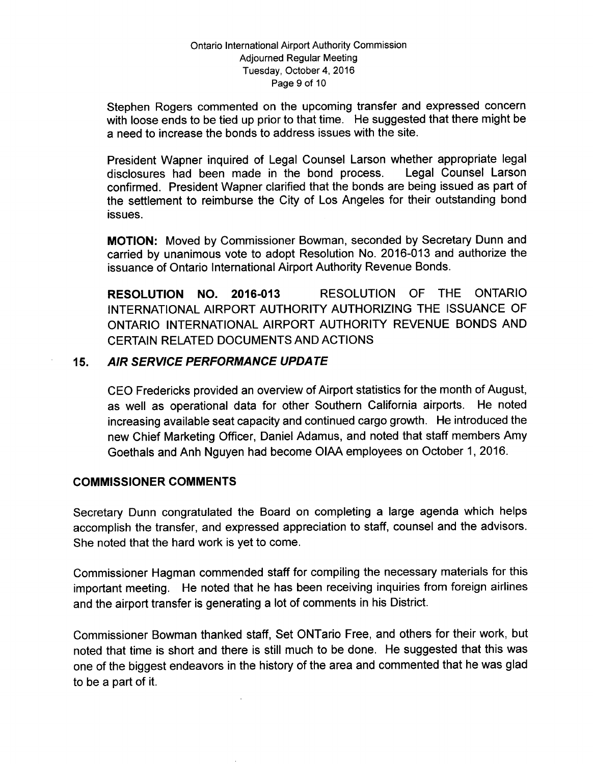#### Ontario International Airport Authority Commission Adjourned Regular Meeting Tuesday, October 4, 2016 Page 9 of 10

Stephen Rogers commented on the upcoming transfer and expressed concern with loose ends to be tied up prior to that time. He suggested that there might be a need to increase the bonds to address issues with the site.

President Wapner inquired of Legal Counsel Larson whether appropriate legal disclosures had been made in the bond process. Legal Counsel Larson disclosures had been made in the bond process. confirmed. President Wapner clarified that the bonds are being issued as part of the settlement to reimburse the City of Los Angeles for their outstanding bond issues.

MOTION: Moved by Commissioner Bowman, seconded by Secretary Dunn and carried by unanimous vote to adopt Resolution No. 2016-013 and authorize the issuance of Ontario International Airport Authority Revenue Bonds.

RESOLUTION NO. 2016-013 RESOLUTION OF THE ONTARIO INTERNATIONAL AIRPORT AUTHORITY AUTHORIZING THE ISSUANCE OF ONTARIO INTERNATIONAL AIRPORT AUTHORITY REVENUE BONDS AND CERTAIN RELATED DOCUMENTS AND ACTIONS

## 15. AIR SERVICE PERFORMANCE UPDATE

CEO Fredericks provided an overview of Airport statistics for the month of August, as well as operational data for other Southern California airports. He noted increasing available seat capacity and continued cargo growth. He introduced the new Chief Marketing Officer, Daniel Adamus, and noted that staff members Amy Goethals and Anh Nguyen had become OIAA employees on October 1, 2016.

## COMMISSIONER COMMENTS

Secretary Dunn congratulated the Board on completing a large agenda which helps accomplish the transfer, and expressed appreciation to staff, counsel and the advisors. She noted that the hard work is yet to come.

Commissioner Hagman commended staff for compiling the necessary materials for this important meeting. He noted that he has been receiving inquiries from foreign airlines and the airport transfer is generating a lot of comments in his District.

Commissioner Bowman thanked staff, Set ONTario Free, and others for their work, but noted that time is short and there is still much to be done. He suggested that this was one of the biggest endeavors in the history of the area and commented that he was glad to be a part of it.